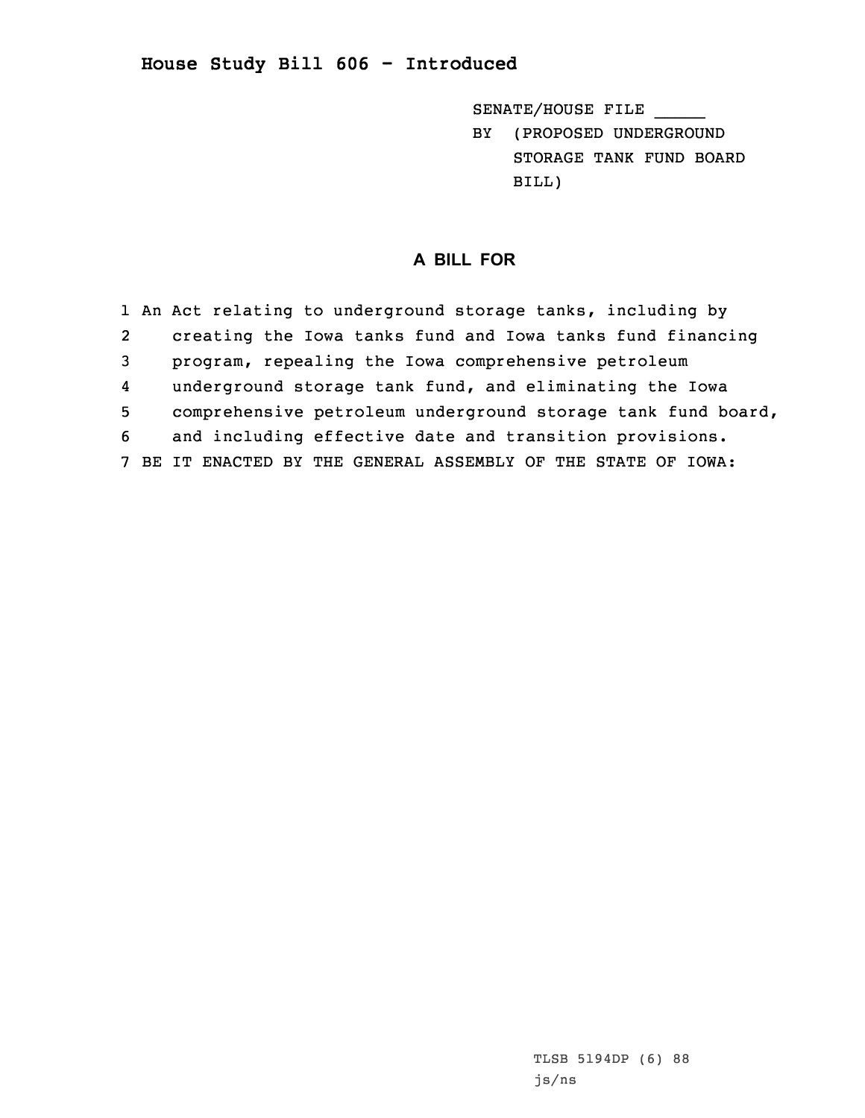## **House Study Bill 606 - Introduced**

SENATE/HOUSE FILE \_\_\_\_\_

BY (PROPOSED UNDERGROUND STORAGE TANK FUND BOARD BILL)

## **A BILL FOR**

|   | 1 An Act relating to underground storage tanks, including by  |
|---|---------------------------------------------------------------|
| 2 | creating the Iowa tanks fund and Iowa tanks fund financing    |
| 3 | program, repealing the Iowa comprehensive petroleum           |
| 4 | underground storage tank fund, and eliminating the Iowa       |
| 5 | comprehensive petroleum underground storage tank fund board,  |
| 6 | and including effective date and transition provisions.       |
|   | 7 BE IT ENACTED BY THE GENERAL ASSEMBLY OF THE STATE OF IOWA: |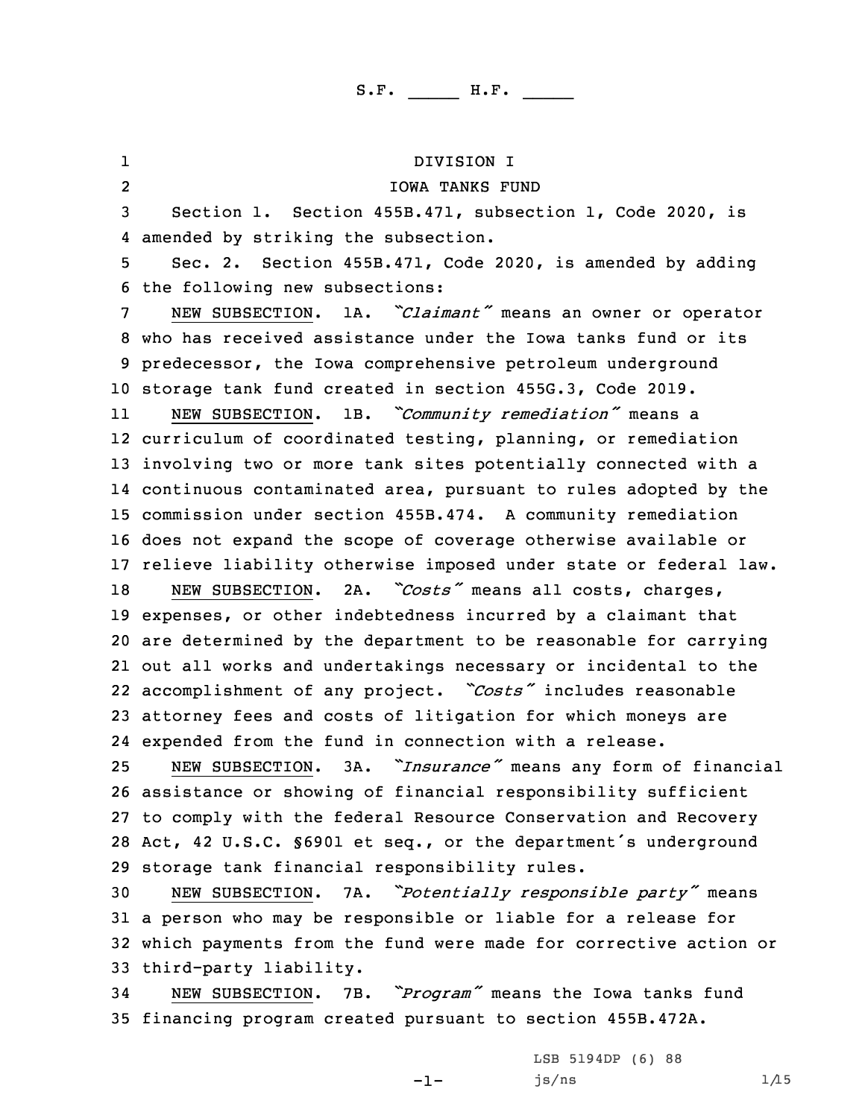1 DIVISION I 2 IOWA TANKS FUND Section 1. Section 455B.471, subsection 1, Code 2020, is amended by striking the subsection. Sec. 2. Section 455B.471, Code 2020, is amended by adding the following new subsections: NEW SUBSECTION. 1A. *"Claimant"* means an owner or operator who has received assistance under the Iowa tanks fund or its predecessor, the Iowa comprehensive petroleum underground storage tank fund created in section 455G.3, Code 2019. 11 NEW SUBSECTION. 1B. *"Community remediation"* means <sup>a</sup> curriculum of coordinated testing, planning, or remediation involving two or more tank sites potentially connected with <sup>a</sup> continuous contaminated area, pursuant to rules adopted by the commission under section 455B.474. <sup>A</sup> community remediation does not expand the scope of coverage otherwise available or relieve liability otherwise imposed under state or federal law. NEW SUBSECTION. 2A. *"Costs"* means all costs, charges, expenses, or other indebtedness incurred by <sup>a</sup> claimant that are determined by the department to be reasonable for carrying out all works and undertakings necessary or incidental to the accomplishment of any project. *"Costs"* includes reasonable attorney fees and costs of litigation for which moneys are expended from the fund in connection with <sup>a</sup> release. NEW SUBSECTION. 3A. *"Insurance"* means any form of financial assistance or showing of financial responsibility sufficient to comply with the federal Resource Conservation and Recovery Act, <sup>42</sup> U.S.C. §6901 et seq., or the department's underground storage tank financial responsibility rules. NEW SUBSECTION. 7A. *"Potentially responsible party"* means <sup>a</sup> person who may be responsible or liable for <sup>a</sup> release for which payments from the fund were made for corrective action or third-party liability. NEW SUBSECTION. 7B. *"Program"* means the Iowa tanks fund

35 financing program created pursuant to section 455B.472A.

-1-

LSB 5194DP (6) 88  $js/ns$  1/15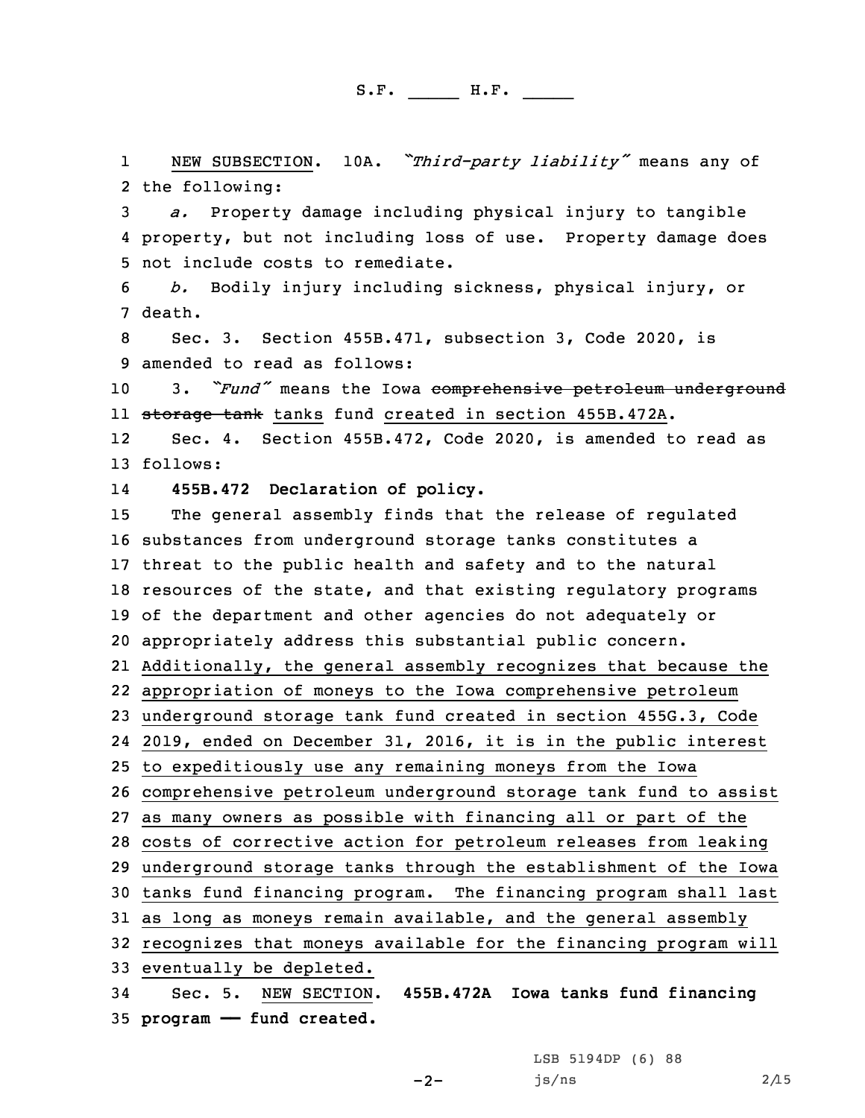1 NEW SUBSECTION. 10A. *"Third-party liability"* means any of 2 the following:

3 *a.* Property damage including physical injury to tangible 4 property, but not including loss of use. Property damage does 5 not include costs to remediate.

6 *b.* Bodily injury including sickness, physical injury, or 7 death.

8 Sec. 3. Section 455B.471, subsection 3, Code 2020, is 9 amended to read as follows:

<sup>10</sup> 3. *"Fund"* means the Iowa comprehensive petroleum underground 11 <del>storage tank</del> tanks fund created in section 455B.472A.

12 Sec. 4. Section 455B.472, Code 2020, is amended to read as 13 follows:

14**455B.472 Declaration of policy.**

 The general assembly finds that the release of regulated substances from underground storage tanks constitutes <sup>a</sup> threat to the public health and safety and to the natural resources of the state, and that existing regulatory programs of the department and other agencies do not adequately or appropriately address this substantial public concern. Additionally, the general assembly recognizes that because the appropriation of moneys to the Iowa comprehensive petroleum underground storage tank fund created in section 455G.3, Code 2019, ended on December 31, 2016, it is in the public interest to expeditiously use any remaining moneys from the Iowa comprehensive petroleum underground storage tank fund to assist as many owners as possible with financing all or part of the costs of corrective action for petroleum releases from leaking underground storage tanks through the establishment of the Iowa tanks fund financing program. The financing program shall last as long as moneys remain available, and the general assembly recognizes that moneys available for the financing program will eventually be depleted. Sec. 5. NEW SECTION. **455B.472A Iowa tanks fund financing**

35 **program —— fund created.**

LSB 5194DP (6) 88

 $js/ns$  2/15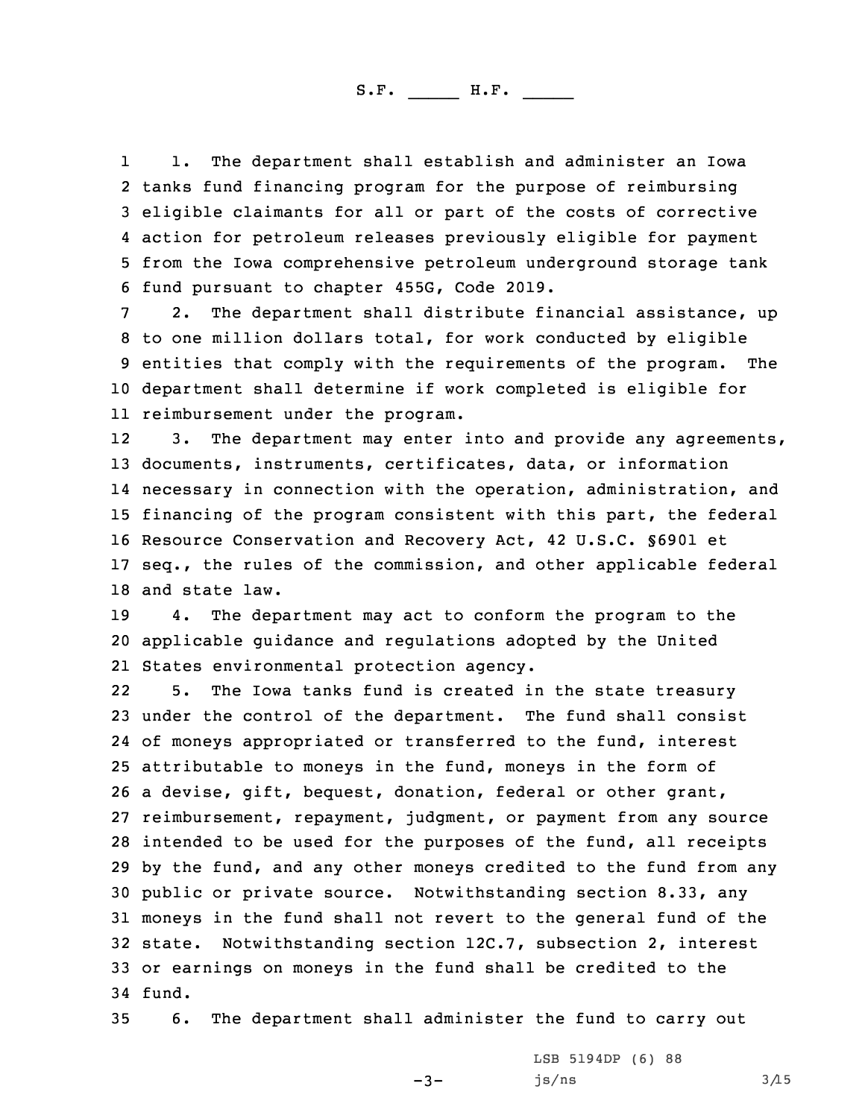1 1. The department shall establish and administer an Iowa tanks fund financing program for the purpose of reimbursing eligible claimants for all or part of the costs of corrective action for petroleum releases previously eligible for payment from the Iowa comprehensive petroleum underground storage tank fund pursuant to chapter 455G, Code 2019.

 2. The department shall distribute financial assistance, up to one million dollars total, for work conducted by eligible entities that comply with the requirements of the program. The department shall determine if work completed is eligible for reimbursement under the program.

12 3. The department may enter into and provide any agreements, documents, instruments, certificates, data, or information necessary in connection with the operation, administration, and financing of the program consistent with this part, the federal Resource Conservation and Recovery Act, 42 U.S.C. §6901 et seq., the rules of the commission, and other applicable federal and state law.

19 4. The department may act to conform the program to the 20 applicable guidance and regulations adopted by the United 21 States environmental protection agency.

22 5. The Iowa tanks fund is created in the state treasury under the control of the department. The fund shall consist of moneys appropriated or transferred to the fund, interest attributable to moneys in the fund, moneys in the form of <sup>a</sup> devise, gift, bequest, donation, federal or other grant, reimbursement, repayment, judgment, or payment from any source intended to be used for the purposes of the fund, all receipts by the fund, and any other moneys credited to the fund from any public or private source. Notwithstanding section 8.33, any moneys in the fund shall not revert to the general fund of the state. Notwithstanding section 12C.7, subsection 2, interest or earnings on moneys in the fund shall be credited to the 34 fund.

35 6. The department shall administer the fund to carry out

-3-

LSB 5194DP (6) 88  $js/ns$  3/15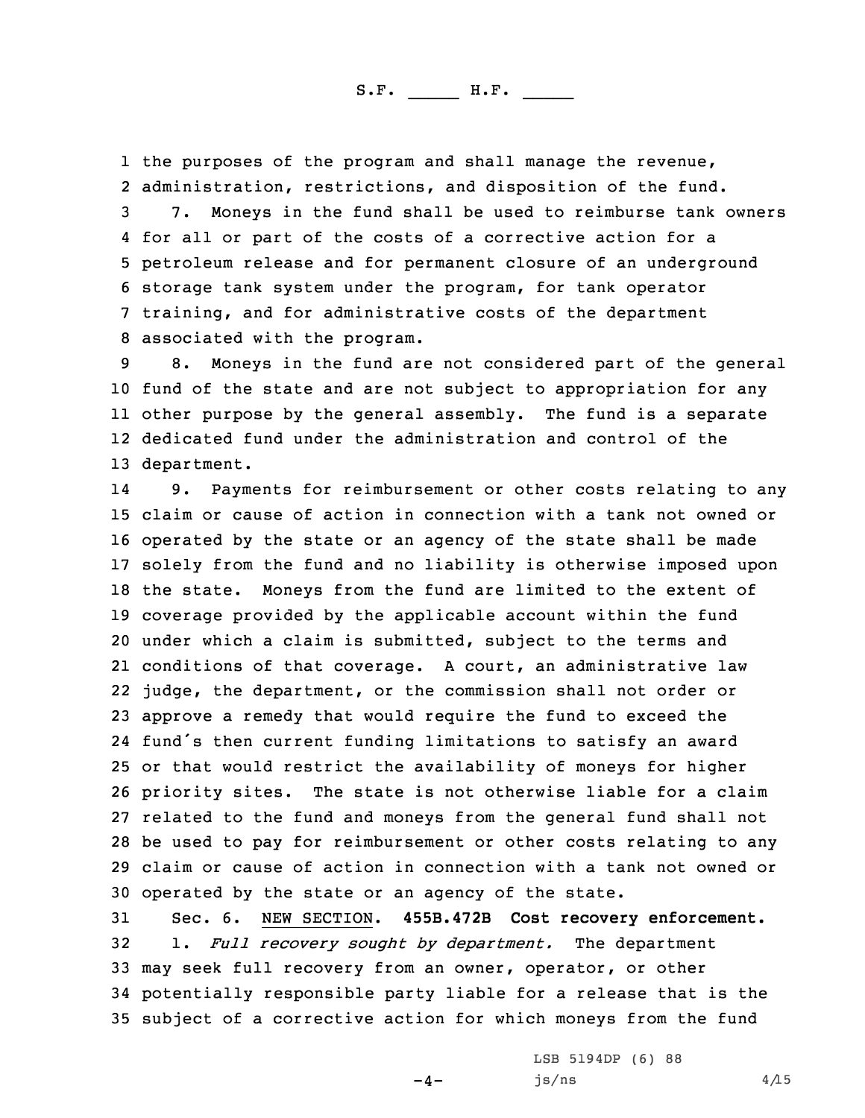the purposes of the program and shall manage the revenue, administration, restrictions, and disposition of the fund. 7. Moneys in the fund shall be used to reimburse tank owners for all or part of the costs of <sup>a</sup> corrective action for <sup>a</sup> petroleum release and for permanent closure of an underground storage tank system under the program, for tank operator training, and for administrative costs of the department associated with the program.

 8. Moneys in the fund are not considered part of the general fund of the state and are not subject to appropriation for any other purpose by the general assembly. The fund is <sup>a</sup> separate dedicated fund under the administration and control of the department.

14 9. Payments for reimbursement or other costs relating to any claim or cause of action in connection with <sup>a</sup> tank not owned or operated by the state or an agency of the state shall be made solely from the fund and no liability is otherwise imposed upon the state. Moneys from the fund are limited to the extent of coverage provided by the applicable account within the fund under which <sup>a</sup> claim is submitted, subject to the terms and conditions of that coverage. <sup>A</sup> court, an administrative law judge, the department, or the commission shall not order or approve <sup>a</sup> remedy that would require the fund to exceed the fund's then current funding limitations to satisfy an award or that would restrict the availability of moneys for higher priority sites. The state is not otherwise liable for <sup>a</sup> claim related to the fund and moneys from the general fund shall not be used to pay for reimbursement or other costs relating to any claim or cause of action in connection with <sup>a</sup> tank not owned or operated by the state or an agency of the state.

 Sec. 6. NEW SECTION. **455B.472B Cost recovery enforcement.** 1. *Full recovery sought by department.* The department may seek full recovery from an owner, operator, or other potentially responsible party liable for <sup>a</sup> release that is the subject of <sup>a</sup> corrective action for which moneys from the fund

 $-4-$ 

LSB 5194DP (6) 88  $js/ns$  4/15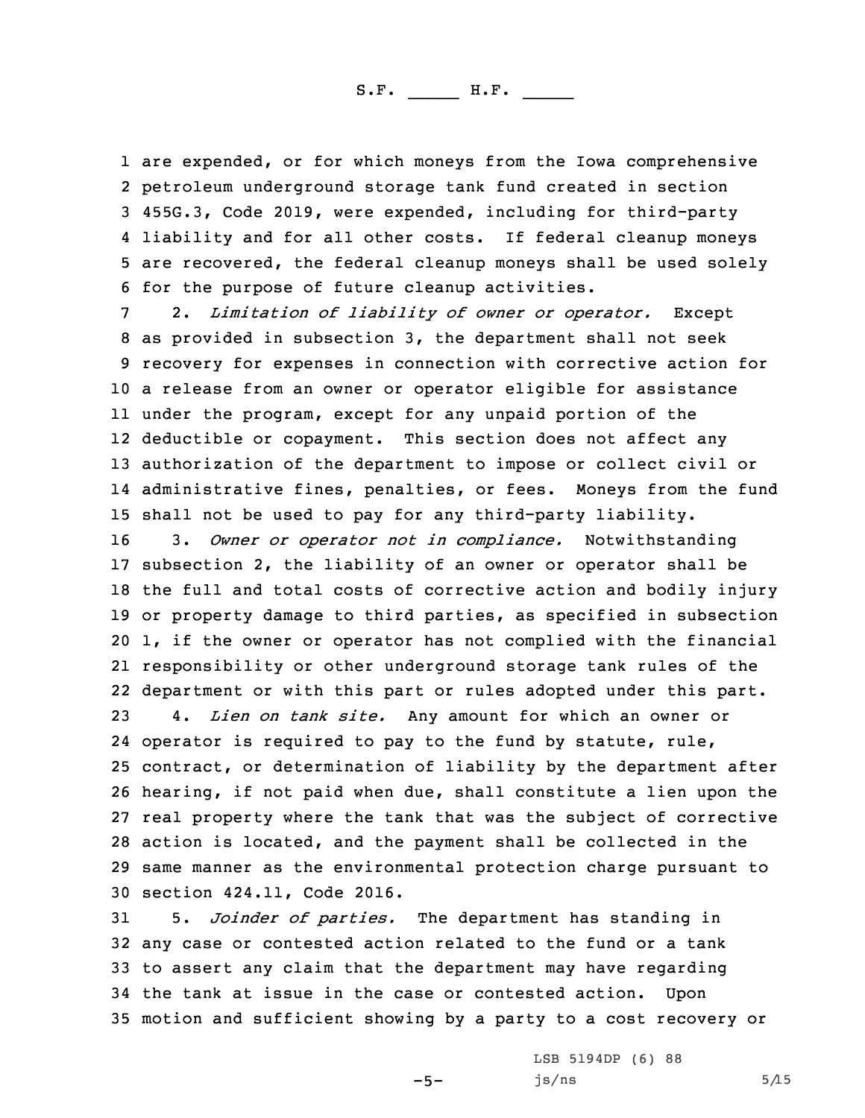are expended, or for which moneys from the Iowa comprehensive petroleum underground storage tank fund created in section 455G.3, Code 2019, were expended, including for third-party liability and for all other costs. If federal cleanup moneys are recovered, the federal cleanup moneys shall be used solely for the purpose of future cleanup activities.

 2. *Limitation of liability of owner or operator.* Except as provided in subsection 3, the department shall not seek recovery for expenses in connection with corrective action for <sup>a</sup> release from an owner or operator eligible for assistance under the program, except for any unpaid portion of the deductible or copayment. This section does not affect any authorization of the department to impose or collect civil or administrative fines, penalties, or fees. Moneys from the fund shall not be used to pay for any third-party liability.

 3. *Owner or operator not in compliance.* Notwithstanding subsection 2, the liability of an owner or operator shall be the full and total costs of corrective action and bodily injury or property damage to third parties, as specified in subsection 1, if the owner or operator has not complied with the financial responsibility or other underground storage tank rules of the department or with this part or rules adopted under this part.

 4. *Lien on tank site.* Any amount for which an owner or operator is required to pay to the fund by statute, rule, contract, or determination of liability by the department after hearing, if not paid when due, shall constitute <sup>a</sup> lien upon the real property where the tank that was the subject of corrective action is located, and the payment shall be collected in the same manner as the environmental protection charge pursuant to section 424.11, Code 2016.

 5. *Joinder of parties.* The department has standing in any case or contested action related to the fund or <sup>a</sup> tank to assert any claim that the department may have regarding the tank at issue in the case or contested action. Upon motion and sufficient showing by <sup>a</sup> party to <sup>a</sup> cost recovery or

 $-5-$ 

LSB 5194DP (6) 88  $js/ns$  5/15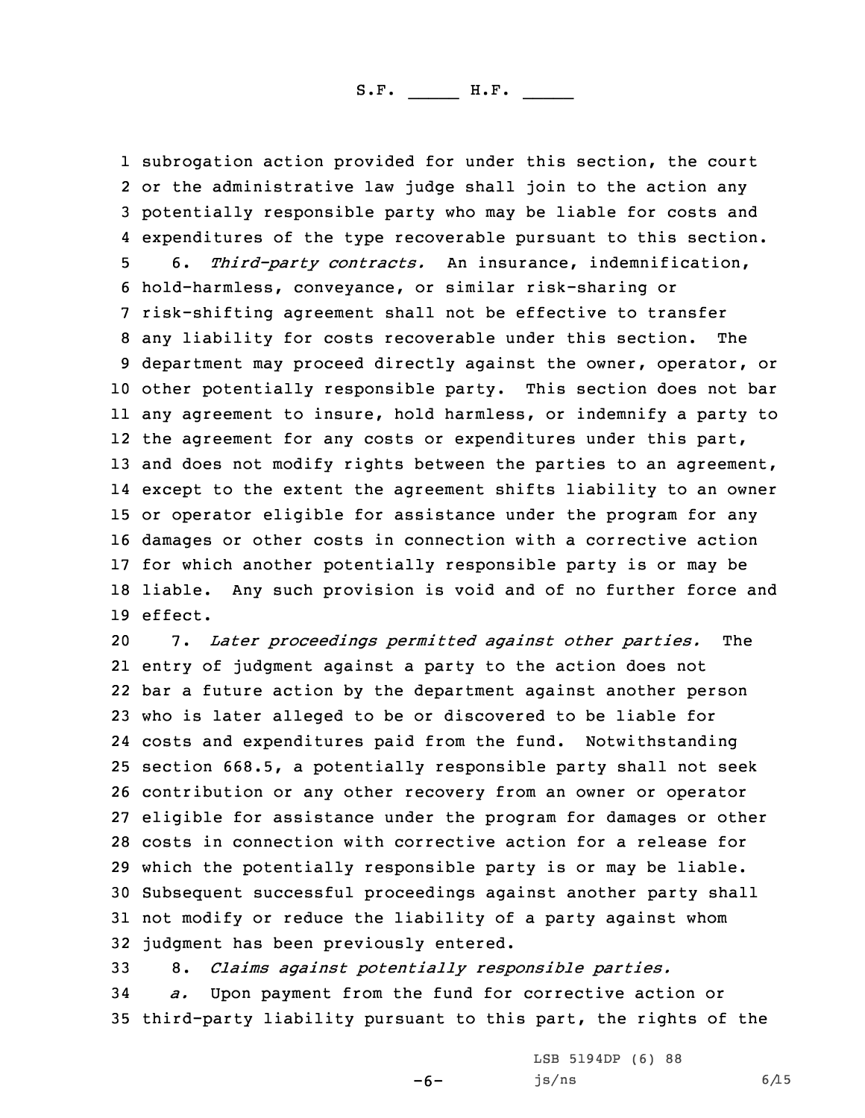subrogation action provided for under this section, the court or the administrative law judge shall join to the action any potentially responsible party who may be liable for costs and expenditures of the type recoverable pursuant to this section. 6. *Third-party contracts.* An insurance, indemnification, hold-harmless, conveyance, or similar risk-sharing or risk-shifting agreement shall not be effective to transfer any liability for costs recoverable under this section. The department may proceed directly against the owner, operator, or other potentially responsible party. This section does not bar any agreement to insure, hold harmless, or indemnify <sup>a</sup> party to 12 the agreement for any costs or expenditures under this part, 13 and does not modify rights between the parties to an agreement, except to the extent the agreement shifts liability to an owner or operator eligible for assistance under the program for any damages or other costs in connection with <sup>a</sup> corrective action for which another potentially responsible party is or may be liable. Any such provision is void and of no further force and 19 effect.

 7. *Later proceedings permitted against other parties.* The entry of judgment against <sup>a</sup> party to the action does not bar <sup>a</sup> future action by the department against another person who is later alleged to be or discovered to be liable for costs and expenditures paid from the fund. Notwithstanding section 668.5, <sup>a</sup> potentially responsible party shall not seek contribution or any other recovery from an owner or operator eligible for assistance under the program for damages or other costs in connection with corrective action for <sup>a</sup> release for which the potentially responsible party is or may be liable. Subsequent successful proceedings against another party shall not modify or reduce the liability of <sup>a</sup> party against whom judgment has been previously entered.

33 8. *Claims against potentially responsible parties.*

34 *a.* Upon payment from the fund for corrective action or 35 third-party liability pursuant to this part, the rights of the

 $-6-$ 

LSB 5194DP (6) 88  $js/ns$  6/15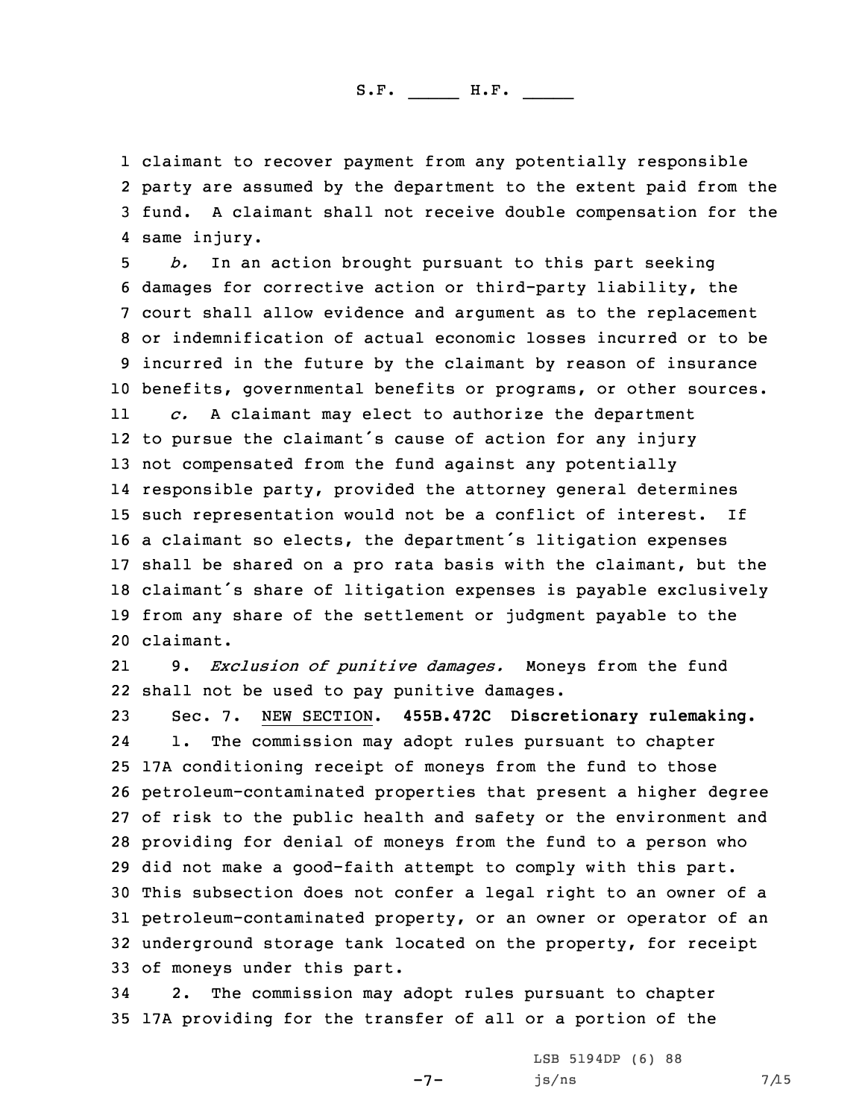claimant to recover payment from any potentially responsible party are assumed by the department to the extent paid from the fund. <sup>A</sup> claimant shall not receive double compensation for the same injury.

 *b.* In an action brought pursuant to this part seeking damages for corrective action or third-party liability, the court shall allow evidence and argument as to the replacement or indemnification of actual economic losses incurred or to be incurred in the future by the claimant by reason of insurance benefits, governmental benefits or programs, or other sources. 11 *c.* <sup>A</sup> claimant may elect to authorize the department to pursue the claimant's cause of action for any injury not compensated from the fund against any potentially responsible party, provided the attorney general determines such representation would not be <sup>a</sup> conflict of interest. If <sup>a</sup> claimant so elects, the department's litigation expenses shall be shared on <sup>a</sup> pro rata basis with the claimant, but the claimant's share of litigation expenses is payable exclusively from any share of the settlement or judgment payable to the claimant.

21 9. *Exclusion of punitive damages.* Moneys from the fund 22 shall not be used to pay punitive damages.

 Sec. 7. NEW SECTION. **455B.472C Discretionary rulemaking.** 24 1. The commission may adopt rules pursuant to chapter 17A conditioning receipt of moneys from the fund to those petroleum-contaminated properties that present <sup>a</sup> higher degree of risk to the public health and safety or the environment and providing for denial of moneys from the fund to <sup>a</sup> person who did not make <sup>a</sup> good-faith attempt to comply with this part. This subsection does not confer <sup>a</sup> legal right to an owner of <sup>a</sup> petroleum-contaminated property, or an owner or operator of an underground storage tank located on the property, for receipt of moneys under this part.

34 2. The commission may adopt rules pursuant to chapter 35 17A providing for the transfer of all or <sup>a</sup> portion of the

-7-

LSB 5194DP (6) 88  $js/ns$  7/15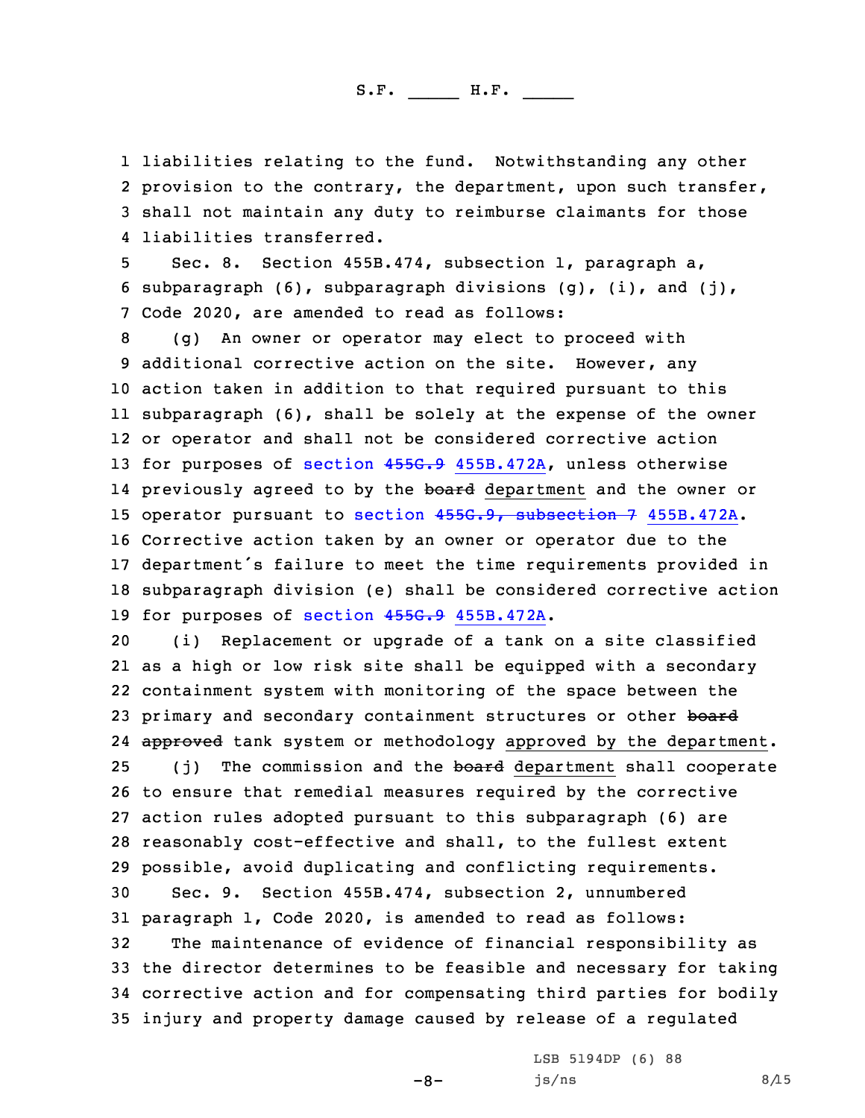liabilities relating to the fund. Notwithstanding any other 2 provision to the contrary, the department, upon such transfer, shall not maintain any duty to reimburse claimants for those liabilities transferred.

5 Sec. 8. Section 455B.474, subsection 1, paragraph a, 6 subparagraph (6), subparagraph divisions (g), (i), and (j), 7 Code 2020, are amended to read as follows:

 (g) An owner or operator may elect to proceed with additional corrective action on the site. However, any action taken in addition to that required pursuant to this subparagraph (6), shall be solely at the expense of the owner or operator and shall not be considered corrective action 13 for purposes of section 455G.9 [455B.472A](https://www.legis.iowa.gov/docs/code/2020/455G.9.pdf), unless otherwise 14 previously agreed to by the <del>board</del> department and the owner or operator pursuant to section 455G.9, [subsection](https://www.legis.iowa.gov/docs/code/2020/455G.9.pdf) 7 455B.472A. Corrective action taken by an owner or operator due to the department's failure to meet the time requirements provided in subparagraph division (e) shall be considered corrective action 19 for purposes of section 455G.9 [455B.472A](https://www.legis.iowa.gov/docs/code/2020/455G.9.pdf).

 (i) Replacement or upgrade of <sup>a</sup> tank on <sup>a</sup> site classified as <sup>a</sup> high or low risk site shall be equipped with <sup>a</sup> secondary containment system with monitoring of the space between the 23 primary and secondary containment structures or other board 24 <del>approved</del> tank system or methodology approved by the department. 25 (j) The commission and the board department shall cooperate to ensure that remedial measures required by the corrective action rules adopted pursuant to this subparagraph (6) are reasonably cost-effective and shall, to the fullest extent possible, avoid duplicating and conflicting requirements. Sec. 9. Section 455B.474, subsection 2, unnumbered paragraph 1, Code 2020, is amended to read as follows: The maintenance of evidence of financial responsibility as the director determines to be feasible and necessary for taking corrective action and for compensating third parties for bodily

35 injury and property damage caused by release of <sup>a</sup> regulated

-8-

LSB 5194DP (6) 88  $js/ns$  8/15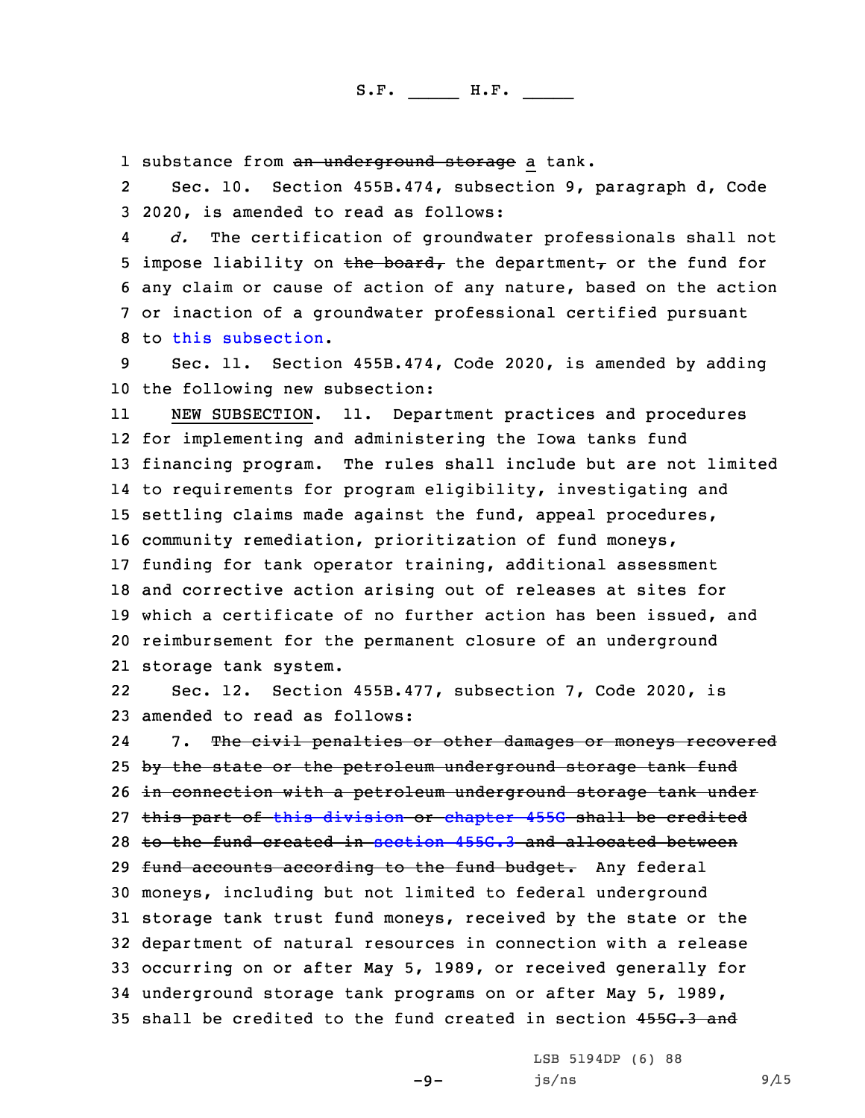1 substance from <del>an underground storage</del> a tank.

2 Sec. 10. Section 455B.474, subsection 9, paragraph d, Code 3 2020, is amended to read as follows:

4 *d.* The certification of groundwater professionals shall not 5 impose liability on the board, the department, or the fund for 6 any claim or cause of action of any nature, based on the action 7 or inaction of <sup>a</sup> groundwater professional certified pursuant 8 to this [subsection](https://www.legis.iowa.gov/docs/code/2020/455B.474.pdf).

9 Sec. 11. Section 455B.474, Code 2020, is amended by adding 10 the following new subsection:

11 NEW SUBSECTION. 11. Department practices and procedures for implementing and administering the Iowa tanks fund financing program. The rules shall include but are not limited to requirements for program eligibility, investigating and settling claims made against the fund, appeal procedures, community remediation, prioritization of fund moneys, funding for tank operator training, additional assessment and corrective action arising out of releases at sites for which <sup>a</sup> certificate of no further action has been issued, and reimbursement for the permanent closure of an underground storage tank system.

22 Sec. 12. Section 455B.477, subsection 7, Code 2020, is 23 amended to read as follows:

24 7. The civil penalties or other damages or moneys recovered 25 by the state or the petroleum underground storage tank fund 26 in connection with <sup>a</sup> petroleum underground storage tank under 27 this part of this [division](https://www.legis.iowa.gov/docs/code/2020/455B.pdf) or [chapter](https://www.legis.iowa.gov/docs/code/2020/455G.pdf) 455G shall be credited 28 to the fund created in [section](https://www.legis.iowa.gov/docs/code/2020/455G.3.pdf) 455G.3 and allocated between 29 fund accounts according to the fund budget. Any federal 30 moneys, including but not limited to federal underground 31 storage tank trust fund moneys, received by the state or the 32 department of natural resources in connection with <sup>a</sup> release 33 occurring on or after May 5, 1989, or received generally for 34 underground storage tank programs on or after May 5, 1989, 35 shall be credited to the fund created in section 455G.3 and

 $-9-$ 

LSB 5194DP (6) 88  $js/ns$  9/15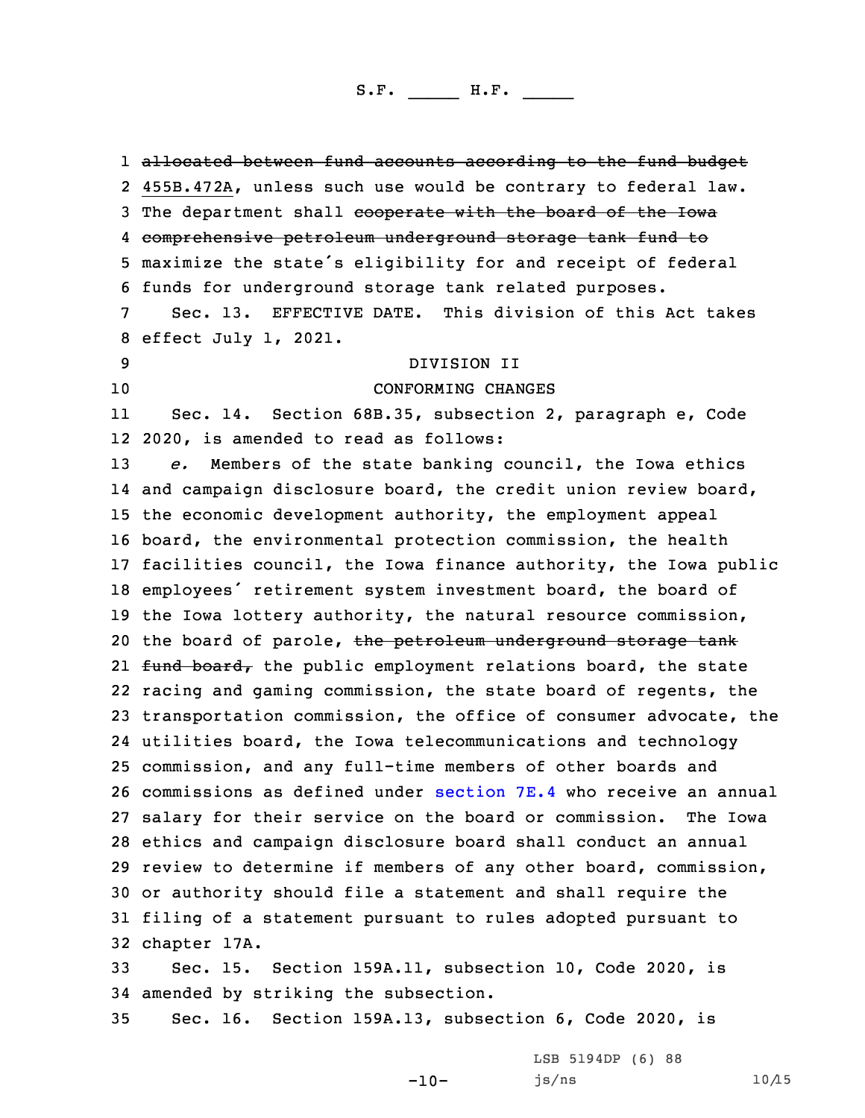1 <del>allocated between fund accounts according to the fund budget</del> 455B.472A, unless such use would be contrary to federal law. 3 The department shall cooperate with the board of the Iowa comprehensive petroleum underground storage tank fund to maximize the state's eligibility for and receipt of federal funds for underground storage tank related purposes. Sec. 13. EFFECTIVE DATE. This division of this Act takes effect July 1, 2021. DIVISION II CONFORMING CHANGES 11 Sec. 14. Section 68B.35, subsection 2, paragraph e, Code 2020, is amended to read as follows: *e.* Members of the state banking council, the Iowa ethics and campaign disclosure board, the credit union review board, the economic development authority, the employment appeal board, the environmental protection commission, the health facilities council, the Iowa finance authority, the Iowa public employees' retirement system investment board, the board of the Iowa lottery authority, the natural resource commission, 20 the board of parole, the petroleum underground storage tank 21 <del>fund board,</del> the public employment relations board, the state racing and gaming commission, the state board of regents, the transportation commission, the office of consumer advocate, the utilities board, the Iowa telecommunications and technology commission, and any full-time members of other boards and commissions as defined under [section](https://www.legis.iowa.gov/docs/code/2020/7E.4.pdf) 7E.4 who receive an annual salary for their service on the board or commission. The Iowa ethics and campaign disclosure board shall conduct an annual review to determine if members of any other board, commission, or authority should file <sup>a</sup> statement and shall require the filing of <sup>a</sup> statement pursuant to rules adopted pursuant to chapter 17A. Sec. 15. Section 159A.11, subsection 10, Code 2020, is amended by striking the subsection.

35 Sec. 16. Section 159A.13, subsection 6, Code 2020, is

-10-

LSB 5194DP (6) 88  $js/ns$  10/15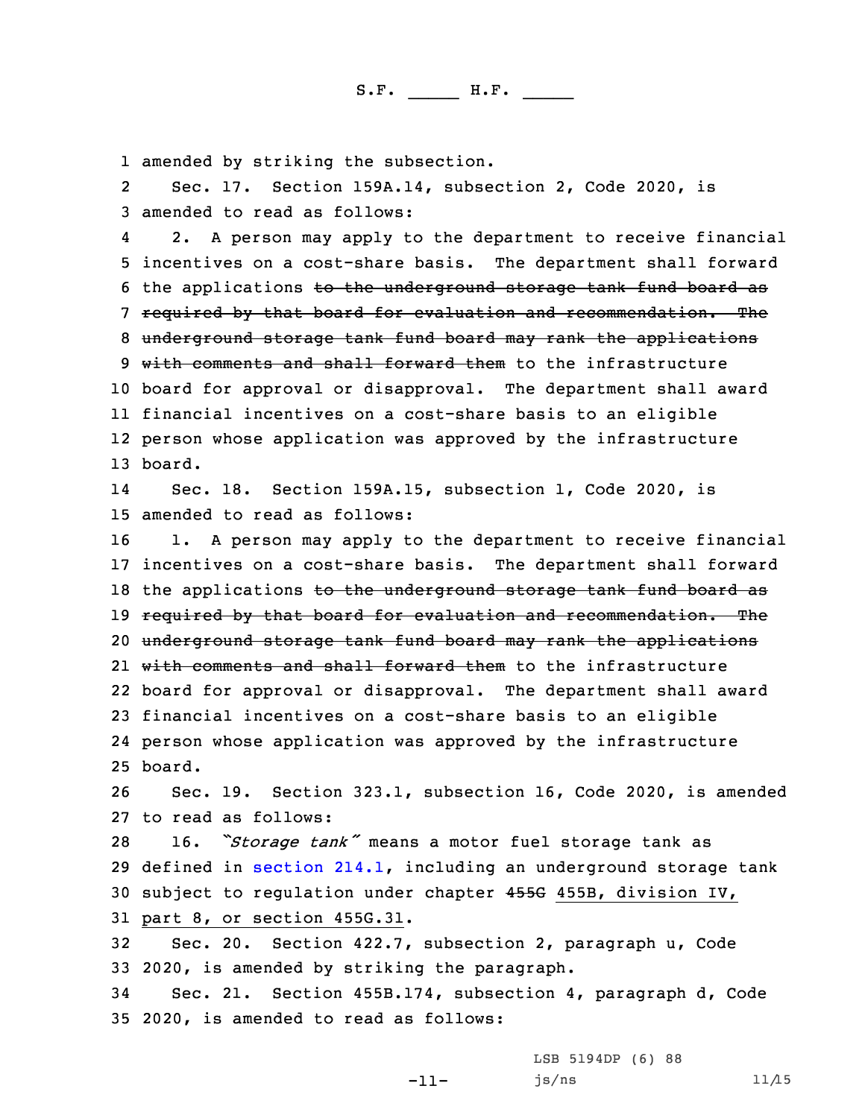1 amended by striking the subsection.

2 Sec. 17. Section 159A.14, subsection 2, Code 2020, is 3 amended to read as follows:

4 2. <sup>A</sup> person may apply to the department to receive financial incentives on <sup>a</sup> cost-share basis. The department shall forward the applications to the underground storage tank fund board as required by that board for evaluation and recommendation. The underground storage tank fund board may rank the applications 9 with comments and shall forward them to the infrastructure board for approval or disapproval. The department shall award financial incentives on <sup>a</sup> cost-share basis to an eligible person whose application was approved by the infrastructure 13 board.

14 Sec. 18. Section 159A.15, subsection 1, Code 2020, is 15 amended to read as follows:

16 1. <sup>A</sup> person may apply to the department to receive financial 17 incentives on <sup>a</sup> cost-share basis. The department shall forward 18 the applications to the underground storage tank fund board as 19 required by that board for evaluation and recommendation. The 20 underground storage tank fund board may rank the applications 21 with comments and shall forward them to the infrastructure 22 board for approval or disapproval. The department shall award 23 financial incentives on <sup>a</sup> cost-share basis to an eligible 24 person whose application was approved by the infrastructure 25 board.

26 Sec. 19. Section 323.1, subsection 16, Code 2020, is amended 27 to read as follows:

 16. *"Storage tank"* means <sup>a</sup> motor fuel storage tank as defined in [section](https://www.legis.iowa.gov/docs/code/2020/214.1.pdf) 214.1, including an underground storage tank subject to regulation under chapter 455G 455B, division IV, part 8, or section 455G.31.

32 Sec. 20. Section 422.7, subsection 2, paragraph u, Code 33 2020, is amended by striking the paragraph.

34 Sec. 21. Section 455B.174, subsection 4, paragraph d, Code 35 2020, is amended to read as follows:

-11-

LSB 5194DP (6) 88 js/ns 11/15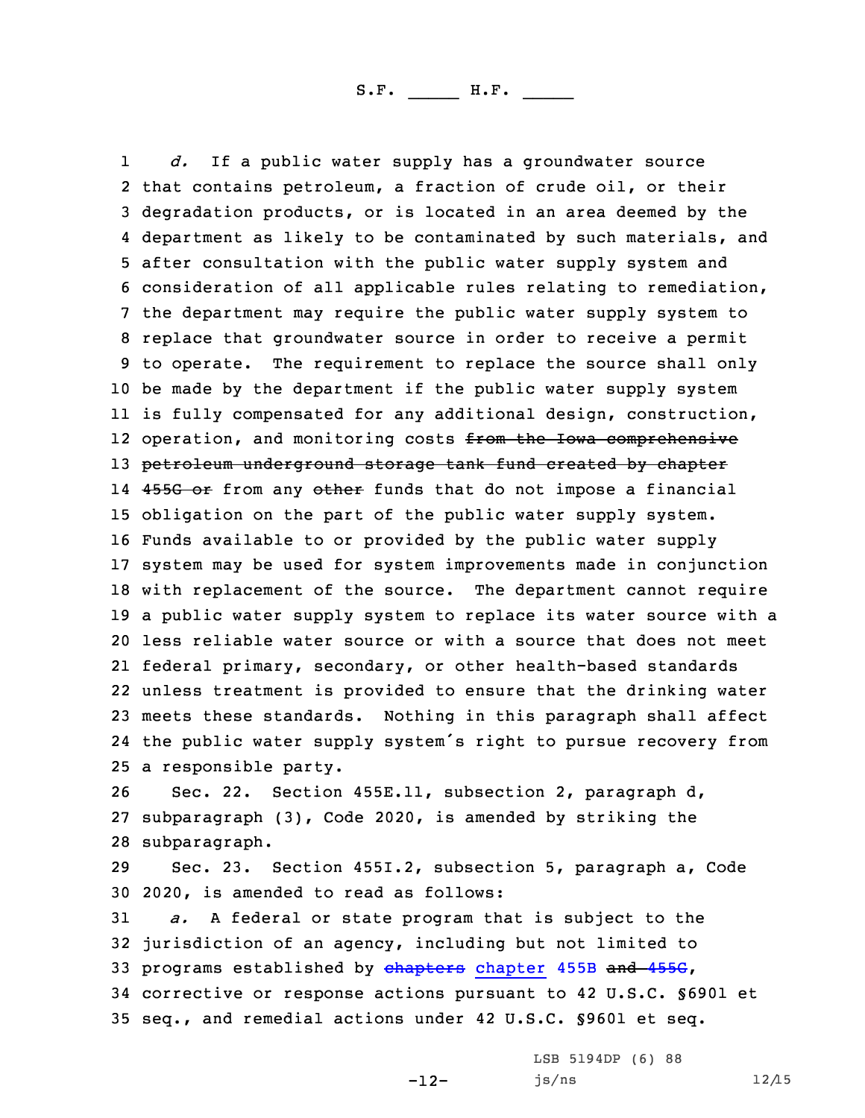1 *d.* If <sup>a</sup> public water supply has <sup>a</sup> groundwater source that contains petroleum, <sup>a</sup> fraction of crude oil, or their degradation products, or is located in an area deemed by the department as likely to be contaminated by such materials, and after consultation with the public water supply system and consideration of all applicable rules relating to remediation, the department may require the public water supply system to replace that groundwater source in order to receive <sup>a</sup> permit to operate. The requirement to replace the source shall only be made by the department if the public water supply system is fully compensated for any additional design, construction, 12 operation, and monitoring costs <del>from the Iowa comprehensive</del> 13 petroleum underground storage tank fund created by chapter 14 <del>455G or</del> from any <del>other</del> funds that do not impose a financial obligation on the part of the public water supply system. Funds available to or provided by the public water supply system may be used for system improvements made in conjunction with replacement of the source. The department cannot require <sup>a</sup> public water supply system to replace its water source with <sup>a</sup> less reliable water source or with <sup>a</sup> source that does not meet federal primary, secondary, or other health-based standards unless treatment is provided to ensure that the drinking water meets these standards. Nothing in this paragraph shall affect the public water supply system's right to pursue recovery from <sup>a</sup> responsible party.

26 Sec. 22. Section 455E.11, subsection 2, paragraph d, 27 subparagraph (3), Code 2020, is amended by striking the 28 subparagraph.

29 Sec. 23. Section 455I.2, subsection 5, paragraph a, Code 30 2020, is amended to read as follows:

 *a.* <sup>A</sup> federal or state program that is subject to the jurisdiction of an agency, including but not limited to 33 programs established by [chapters](https://www.legis.iowa.gov/docs/code/2020/455B.pdf) chapter 455B and [455G](https://www.legis.iowa.gov/docs/code/2020/455G.pdf), corrective or response actions pursuant to 42 U.S.C. §6901 et seq., and remedial actions under 42 U.S.C. §9601 et seq.

-12-

LSB 5194DP (6) 88  $js/ns$  12/15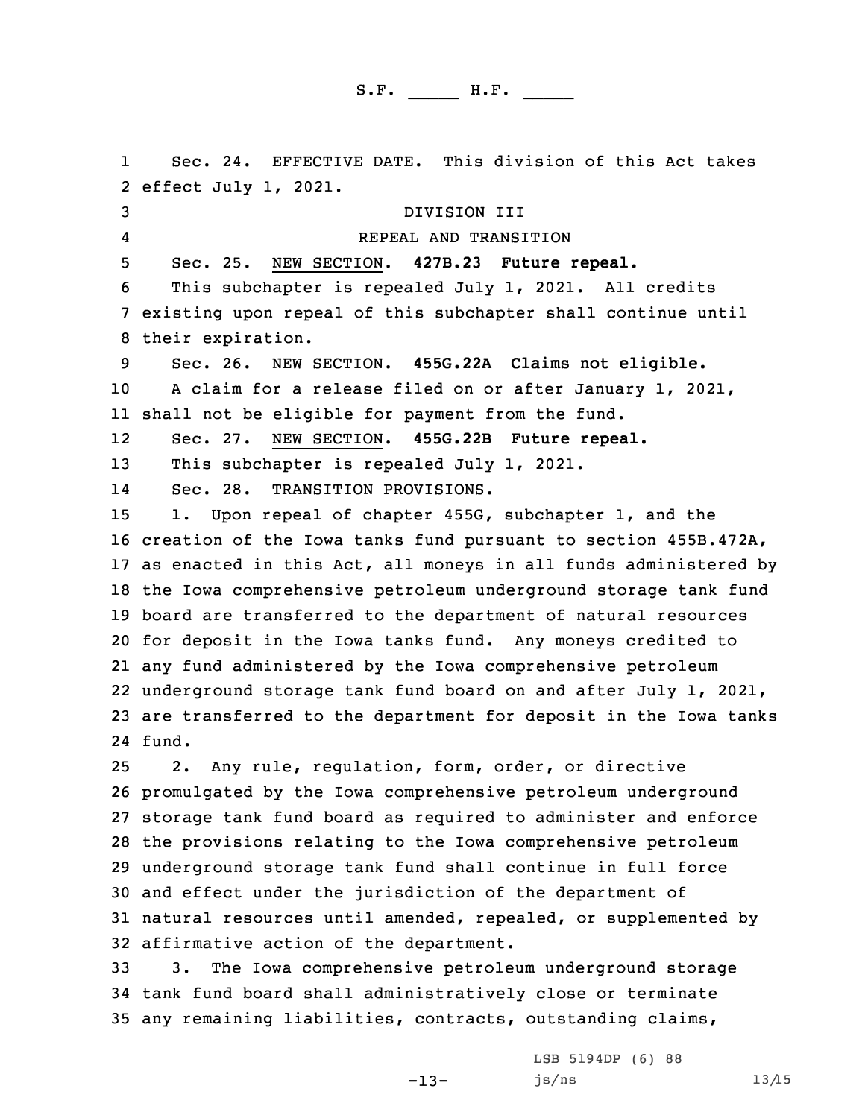1 Sec. 24. EFFECTIVE DATE. This division of this Act takes effect July 1, 2021. DIVISION III 4 REPEAL AND TRANSITION Sec. 25. NEW SECTION. **427B.23 Future repeal.** This subchapter is repealed July 1, 2021. All credits existing upon repeal of this subchapter shall continue until their expiration. Sec. 26. NEW SECTION. **455G.22A Claims not eligible.** <sup>A</sup> claim for <sup>a</sup> release filed on or after January 1, 2021, shall not be eligible for payment from the fund. 12 Sec. 27. NEW SECTION. **455G.22B Future repeal.** 13 This subchapter is repealed July 1, 2021. 14 Sec. 28. TRANSITION PROVISIONS. 1. Upon repeal of chapter 455G, subchapter 1, and the creation of the Iowa tanks fund pursuant to section 455B.472A, as enacted in this Act, all moneys in all funds administered by the Iowa comprehensive petroleum underground storage tank fund board are transferred to the department of natural resources for deposit in the Iowa tanks fund. Any moneys credited to any fund administered by the Iowa comprehensive petroleum underground storage tank fund board on and after July 1, 2021, are transferred to the department for deposit in the Iowa tanks 24 fund. 2. Any rule, regulation, form, order, or directive promulgated by the Iowa comprehensive petroleum underground storage tank fund board as required to administer and enforce the provisions relating to the Iowa comprehensive petroleum underground storage tank fund shall continue in full force and effect under the jurisdiction of the department of natural resources until amended, repealed, or supplemented by affirmative action of the department.

33 3. The Iowa comprehensive petroleum underground storage 34 tank fund board shall administratively close or terminate 35 any remaining liabilities, contracts, outstanding claims,

-13-

LSB 5194DP (6) 88  $js/ns$  13/15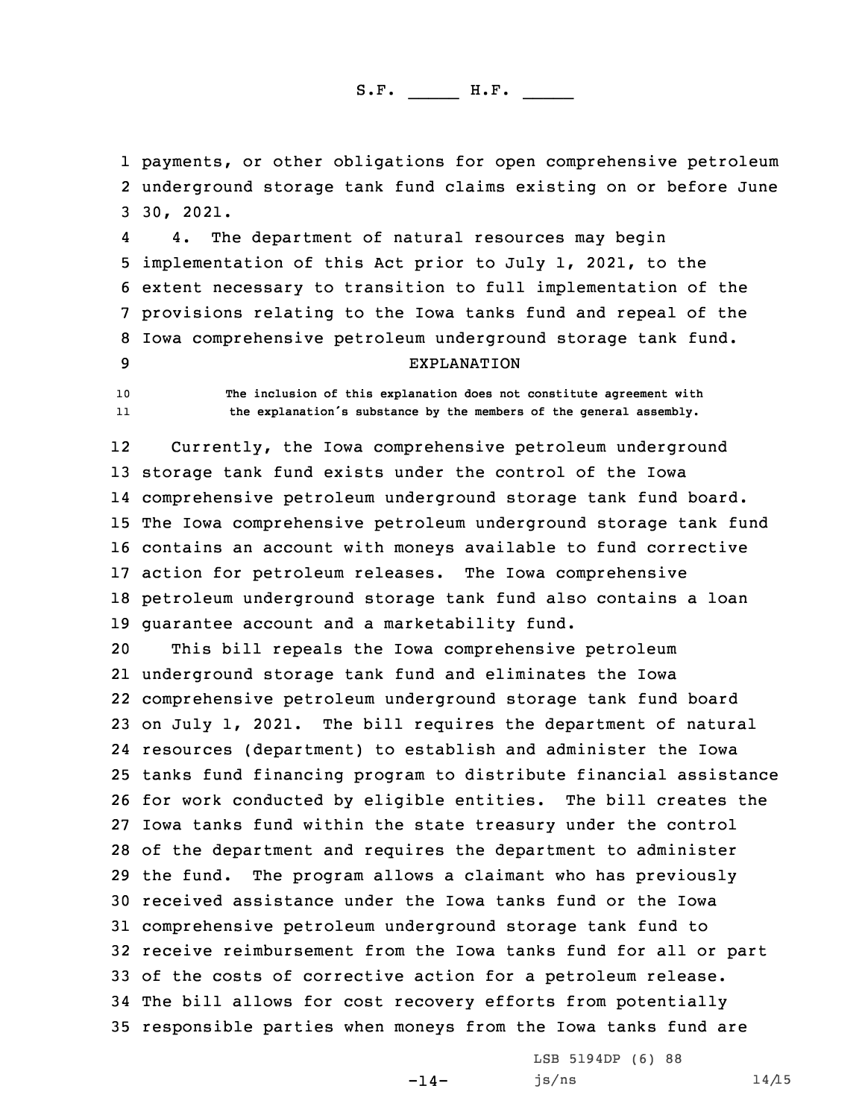1 payments, or other obligations for open comprehensive petroleum 2 underground storage tank fund claims existing on or before June 3 30, 2021.

4 4. The department of natural resources may begin implementation of this Act prior to July 1, 2021, to the extent necessary to transition to full implementation of the provisions relating to the Iowa tanks fund and repeal of the Iowa comprehensive petroleum underground storage tank fund. EXPLANATION

10 **The inclusion of this explanation does not constitute agreement with** 11**the explanation's substance by the members of the general assembly.**

12 Currently, the Iowa comprehensive petroleum underground storage tank fund exists under the control of the Iowa comprehensive petroleum underground storage tank fund board. The Iowa comprehensive petroleum underground storage tank fund contains an account with moneys available to fund corrective action for petroleum releases. The Iowa comprehensive petroleum underground storage tank fund also contains <sup>a</sup> loan guarantee account and <sup>a</sup> marketability fund.

 This bill repeals the Iowa comprehensive petroleum underground storage tank fund and eliminates the Iowa comprehensive petroleum underground storage tank fund board on July 1, 2021. The bill requires the department of natural resources (department) to establish and administer the Iowa tanks fund financing program to distribute financial assistance for work conducted by eligible entities. The bill creates the Iowa tanks fund within the state treasury under the control of the department and requires the department to administer the fund. The program allows <sup>a</sup> claimant who has previously received assistance under the Iowa tanks fund or the Iowa comprehensive petroleum underground storage tank fund to receive reimbursement from the Iowa tanks fund for all or part of the costs of corrective action for <sup>a</sup> petroleum release. The bill allows for cost recovery efforts from potentially responsible parties when moneys from the Iowa tanks fund are

 $-14-$ 

LSB 5194DP (6) 88  $js/ns$  14/15